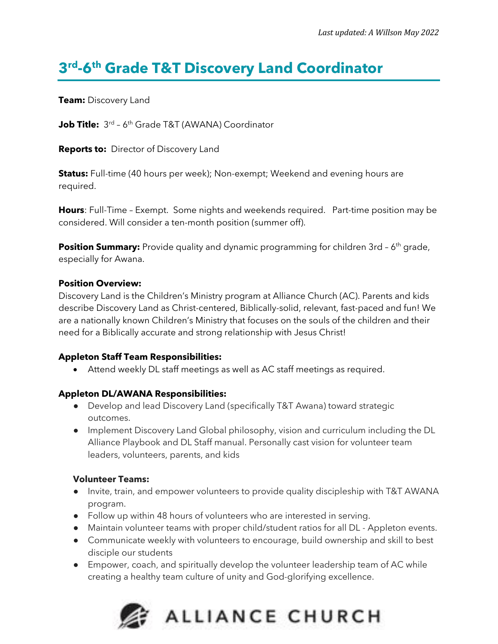# **3rd-6th Grade T&T Discovery Land Coordinator**

**Team:** Discovery Land

**Job Title:**  $3^{rd}$  - 6<sup>th</sup> Grade T&T (AWANA) Coordinator

**Reports to:** Director of Discovery Land

**Status:** Full-time (40 hours per week); Non-exempt; Weekend and evening hours are required.

**Hours**: Full-Time – Exempt. Some nights and weekends required. Part-time position may be considered. Will consider a ten-month position (summer off).

**Position Summary:** Provide quality and dynamic programming for children 3rd - 6<sup>th</sup> grade, especially for Awana.

## **Position Overview:**

Discovery Land is the Children's Ministry program at Alliance Church (AC). Parents and kids describe Discovery Land as Christ-centered, Biblically-solid, relevant, fast-paced and fun! We are a nationally known Children's Ministry that focuses on the souls of the children and their need for a Biblically accurate and strong relationship with Jesus Christ!

## **Appleton Staff Team Responsibilities:**

• Attend weekly DL staff meetings as well as AC staff meetings as required.

## **Appleton DL/AWANA Responsibilities:**

- Develop and lead Discovery Land (specifically T&T Awana) toward strategic outcomes.
- Implement Discovery Land Global philosophy, vision and curriculum including the DL Alliance Playbook and DL Staff manual. Personally cast vision for volunteer team leaders, volunteers, parents, and kids

## **Volunteer Teams:**

- Invite, train, and empower volunteers to provide quality discipleship with T&T AWANA program.
- Follow up within 48 hours of volunteers who are interested in serving.
- Maintain volunteer teams with proper child/student ratios for all DL Appleton events.
- Communicate weekly with volunteers to encourage, build ownership and skill to best disciple our students
- Empower, coach, and spiritually develop the volunteer leadership team of AC while creating a healthy team culture of unity and God-glorifying excellence.

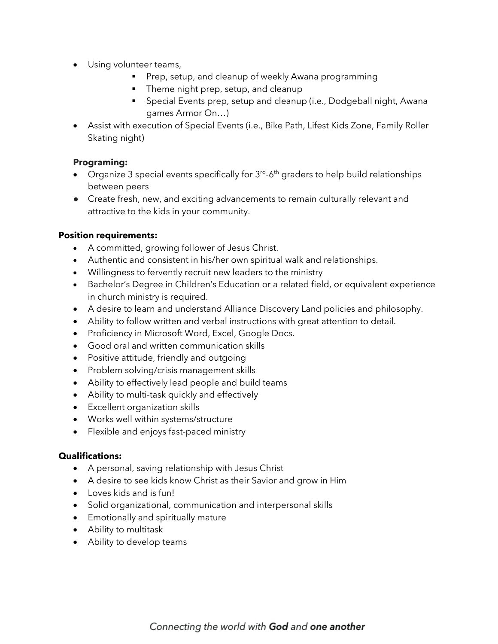- Using volunteer teams,
	- § Prep, setup, and cleanup of weekly Awana programming
	- **•** Theme night prep, setup, and cleanup
	- § Special Events prep, setup and cleanup (i.e., Dodgeball night, Awana games Armor On…)
- Assist with execution of Special Events (i.e., Bike Path, Lifest Kids Zone, Family Roller Skating night)

## **Programing:**

- Organize 3 special events specifically for  $3^{rd}$ -6<sup>th</sup> graders to help build relationships between peers
- Create fresh, new, and exciting advancements to remain culturally relevant and attractive to the kids in your community.

## **Position requirements:**

- A committed, growing follower of Jesus Christ.
- Authentic and consistent in his/her own spiritual walk and relationships.
- Willingness to fervently recruit new leaders to the ministry
- Bachelor's Degree in Children's Education or a related field, or equivalent experience in church ministry is required.
- A desire to learn and understand Alliance Discovery Land policies and philosophy.
- Ability to follow written and verbal instructions with great attention to detail.
- Proficiency in Microsoft Word, Excel, Google Docs.
- Good oral and written communication skills
- Positive attitude, friendly and outgoing
- Problem solving/crisis management skills
- Ability to effectively lead people and build teams
- Ability to multi-task quickly and effectively
- Excellent organization skills
- Works well within systems/structure
- Flexible and enjoys fast-paced ministry

## **Qualifications:**

- A personal, saving relationship with Jesus Christ
- A desire to see kids know Christ as their Savior and grow in Him
- Loves kids and is fun!
- Solid organizational, communication and interpersonal skills
- Emotionally and spiritually mature
- Ability to multitask
- Ability to develop teams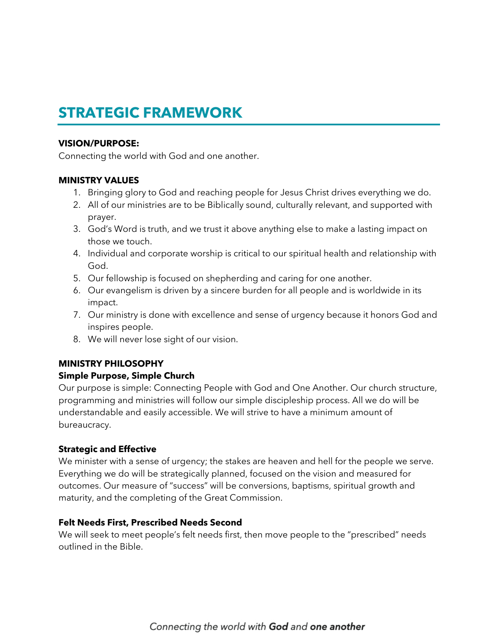# **STRATEGIC FRAMEWORK**

### **VISION/PURPOSE:**

Connecting the world with God and one another.

### **MINISTRY VALUES**

- 1. Bringing glory to God and reaching people for Jesus Christ drives everything we do.
- 2. All of our ministries are to be Biblically sound, culturally relevant, and supported with prayer.
- 3. God's Word is truth, and we trust it above anything else to make a lasting impact on those we touch.
- 4. Individual and corporate worship is critical to our spiritual health and relationship with God.
- 5. Our fellowship is focused on shepherding and caring for one another.
- 6. Our evangelism is driven by a sincere burden for all people and is worldwide in its impact.
- 7. Our ministry is done with excellence and sense of urgency because it honors God and inspires people.
- 8. We will never lose sight of our vision.

## **MINISTRY PHILOSOPHY**

## **Simple Purpose, Simple Church**

Our purpose is simple: Connecting People with God and One Another. Our church structure, programming and ministries will follow our simple discipleship process. All we do will be understandable and easily accessible. We will strive to have a minimum amount of bureaucracy.

## **Strategic and Effective**

We minister with a sense of urgency; the stakes are heaven and hell for the people we serve. Everything we do will be strategically planned, focused on the vision and measured for outcomes. Our measure of "success" will be conversions, baptisms, spiritual growth and maturity, and the completing of the Great Commission.

### **Felt Needs First, Prescribed Needs Second**

We will seek to meet people's felt needs first, then move people to the "prescribed" needs outlined in the Bible.